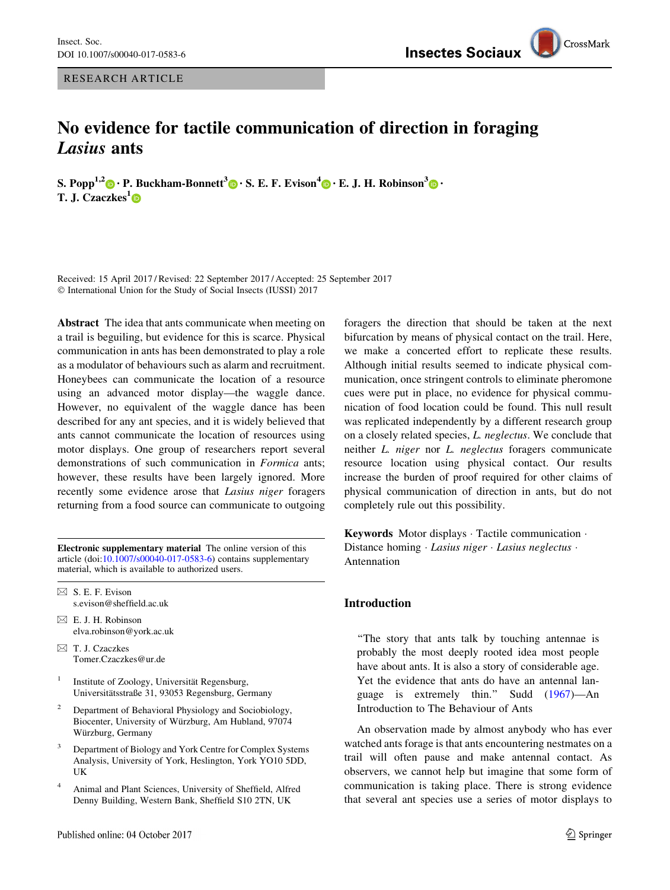## RESEARCH ARTICLE

# No evidence for tactile communication of direction in foraging Lasius ants

S. Popp<sup>1,2</sup> [•](http://orcid.org/0000-0003-4914-9327) P. Buckham-Bonnett<sup>3</sup> • S. E. F. Evison<sup>4</sup> • E. J. H. Robinson<sup>3</sup> • T. J. Czaczkes<sup>1</sup> $\blacksquare$ 

Received: 15 April 2017 / Revised: 22 September 2017 / Accepted: 25 September 2017 © International Union for the Study of Social Insects (IUSSI) 2017

Abstract The idea that ants communicate when meeting on a trail is beguiling, but evidence for this is scarce. Physical communication in ants has been demonstrated to play a role as a modulator of behaviours such as alarm and recruitment. Honeybees can communicate the location of a resource using an advanced motor display—the waggle dance. However, no equivalent of the waggle dance has been described for any ant species, and it is widely believed that ants cannot communicate the location of resources using motor displays. One group of researchers report several demonstrations of such communication in Formica ants; however, these results have been largely ignored. More recently some evidence arose that Lasius niger foragers returning from a food source can communicate to outgoing

Electronic supplementary material The online version of this article (doi[:10.1007/s00040-017-0583-6](http://dx.doi.org/10.1007/s00040-017-0583-6)) contains supplementary material, which is available to authorized users.

 $\boxtimes$  S. E. F. Evison s.evison@sheffield.ac.uk

- $\boxtimes$  E. J. H. Robinson elva.robinson@york.ac.uk
- $\boxtimes$  T. J. Czaczkes Tomer.Czaczkes@ur.de
- <sup>1</sup> Institute of Zoology, Universität Regensburg, Universitätsstraße 31, 93053 Regensburg, Germany
- <sup>2</sup> Department of Behavioral Physiology and Sociobiology, Biocenter, University of Würzburg, Am Hubland, 97074 Würzburg, Germany
- <sup>3</sup> Department of Biology and York Centre for Complex Systems Analysis, University of York, Heslington, York YO10 5DD, UK
- <sup>4</sup> Animal and Plant Sciences, University of Sheffield, Alfred Denny Building, Western Bank, Sheffield S10 2TN, UK

foragers the direction that should be taken at the next bifurcation by means of physical contact on the trail. Here, we make a concerted effort to replicate these results. Although initial results seemed to indicate physical communication, once stringent controls to eliminate pheromone cues were put in place, no evidence for physical communication of food location could be found. This null result was replicated independently by a different research group on a closely related species, L. neglectus. We conclude that neither L. niger nor L. neglectus foragers communicate resource location using physical contact. Our results increase the burden of proof required for other claims of physical communication of direction in ants, but do not completely rule out this possibility.

Keywords Motor displays - Tactile communication - Distance homing · Lasius niger · Lasius neglectus · Antennation

# Introduction

''The story that ants talk by touching antennae is probably the most deeply rooted idea most people have about ants. It is also a story of considerable age. Yet the evidence that ants do have an antennal language is extremely thin.'' Sudd [\(1967](#page-9-0))—An Introduction to The Behaviour of Ants

An observation made by almost anybody who has ever watched ants forage is that ants encountering nestmates on a trail will often pause and make antennal contact. As observers, we cannot help but imagine that some form of communication is taking place. There is strong evidence that several ant species use a series of motor displays to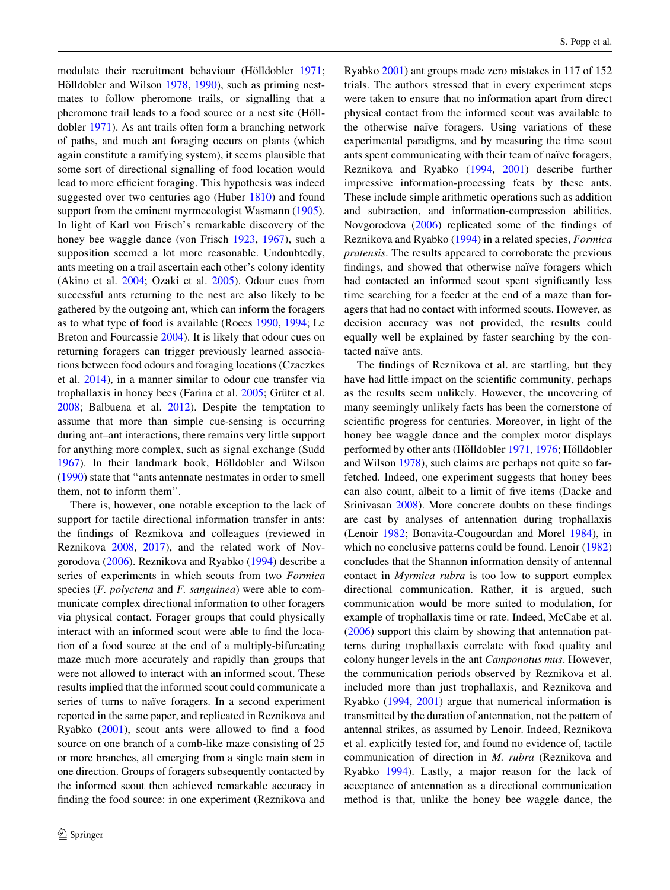modulate their recruitment behaviour (Hölldobler [1971](#page-9-0); Hölldobler and Wilson [1978](#page-9-0), [1990\)](#page-9-0), such as priming nestmates to follow pheromone trails, or signalling that a pheromone trail leads to a food source or a nest site (Hölldobler [1971](#page-9-0)). As ant trails often form a branching network of paths, and much ant foraging occurs on plants (which again constitute a ramifying system), it seems plausible that some sort of directional signalling of food location would lead to more efficient foraging. This hypothesis was indeed suggested over two centuries ago (Huber [1810\)](#page-9-0) and found support from the eminent myrmecologist Wasmann [\(1905](#page-9-0)). In light of Karl von Frisch's remarkable discovery of the honey bee waggle dance (von Frisch [1923](#page-9-0), [1967](#page-9-0)), such a supposition seemed a lot more reasonable. Undoubtedly, ants meeting on a trail ascertain each other's colony identity (Akino et al. [2004](#page-8-0); Ozaki et al. [2005](#page-9-0)). Odour cues from successful ants returning to the nest are also likely to be gathered by the outgoing ant, which can inform the foragers as to what type of food is available (Roces [1990](#page-9-0), [1994;](#page-9-0) Le Breton and Fourcassie [2004](#page-9-0)). It is likely that odour cues on returning foragers can trigger previously learned associations between food odours and foraging locations (Czaczkes et al. [2014\)](#page-8-0), in a manner similar to odour cue transfer via trophallaxis in honey bees (Farina et al. [2005](#page-9-0); Grüter et al. [2008;](#page-9-0) Balbuena et al. [2012](#page-8-0)). Despite the temptation to assume that more than simple cue-sensing is occurring during ant–ant interactions, there remains very little support for anything more complex, such as signal exchange (Sudd [1967\)](#page-9-0). In their landmark book, Hölldobler and Wilson [\(1990](#page-9-0)) state that ''ants antennate nestmates in order to smell them, not to inform them''.

There is, however, one notable exception to the lack of support for tactile directional information transfer in ants: the findings of Reznikova and colleagues (reviewed in Reznikova [2008](#page-9-0), [2017](#page-9-0)), and the related work of Novgorodova ([2006\)](#page-9-0). Reznikova and Ryabko ([1994\)](#page-9-0) describe a series of experiments in which scouts from two Formica species  $(F. polyctena$  and  $F.$  sanguinea) were able to communicate complex directional information to other foragers via physical contact. Forager groups that could physically interact with an informed scout were able to find the location of a food source at the end of a multiply-bifurcating maze much more accurately and rapidly than groups that were not allowed to interact with an informed scout. These results implied that the informed scout could communicate a series of turns to naïve foragers. In a second experiment reported in the same paper, and replicated in Reznikova and Ryabko [\(2001](#page-9-0)), scout ants were allowed to find a food source on one branch of a comb-like maze consisting of 25 or more branches, all emerging from a single main stem in one direction. Groups of foragers subsequently contacted by the informed scout then achieved remarkable accuracy in finding the food source: in one experiment (Reznikova and

Ryabko [2001\)](#page-9-0) ant groups made zero mistakes in 117 of 152 trials. The authors stressed that in every experiment steps were taken to ensure that no information apart from direct physical contact from the informed scout was available to the otherwise naïve foragers. Using variations of these experimental paradigms, and by measuring the time scout ants spent communicating with their team of naïve foragers, Reznikova and Ryabko ([1994,](#page-9-0) [2001\)](#page-9-0) describe further impressive information-processing feats by these ants. These include simple arithmetic operations such as addition and subtraction, and information-compression abilities. Novgorodova [\(2006](#page-9-0)) replicated some of the findings of Reznikova and Ryabko ([1994](#page-9-0)) in a related species, Formica pratensis. The results appeared to corroborate the previous findings, and showed that otherwise naïve foragers which had contacted an informed scout spent significantly less time searching for a feeder at the end of a maze than foragers that had no contact with informed scouts. However, as decision accuracy was not provided, the results could equally well be explained by faster searching by the contacted naïve ants.

The findings of Reznikova et al. are startling, but they have had little impact on the scientific community, perhaps as the results seem unlikely. However, the uncovering of many seemingly unlikely facts has been the cornerstone of scientific progress for centuries. Moreover, in light of the honey bee waggle dance and the complex motor displays performed by other ants (Hölldobler [1971,](#page-9-0) [1976](#page-9-0); Hölldobler and Wilson [1978](#page-9-0)), such claims are perhaps not quite so farfetched. Indeed, one experiment suggests that honey bees can also count, albeit to a limit of five items (Dacke and Srinivasan [2008\)](#page-9-0). More concrete doubts on these findings are cast by analyses of antennation during trophallaxis (Lenoir [1982](#page-9-0); Bonavita-Cougourdan and Morel [1984\)](#page-8-0), in which no conclusive patterns could be found. Lenoir ([1982\)](#page-9-0) concludes that the Shannon information density of antennal contact in Myrmica rubra is too low to support complex directional communication. Rather, it is argued, such communication would be more suited to modulation, for example of trophallaxis time or rate. Indeed, McCabe et al. [\(2006](#page-9-0)) support this claim by showing that antennation patterns during trophallaxis correlate with food quality and colony hunger levels in the ant Camponotus mus. However, the communication periods observed by Reznikova et al. included more than just trophallaxis, and Reznikova and Ryabko [\(1994](#page-9-0), [2001\)](#page-9-0) argue that numerical information is transmitted by the duration of antennation, not the pattern of antennal strikes, as assumed by Lenoir. Indeed, Reznikova et al. explicitly tested for, and found no evidence of, tactile communication of direction in M. rubra (Reznikova and Ryabko [1994\)](#page-9-0). Lastly, a major reason for the lack of acceptance of antennation as a directional communication method is that, unlike the honey bee waggle dance, the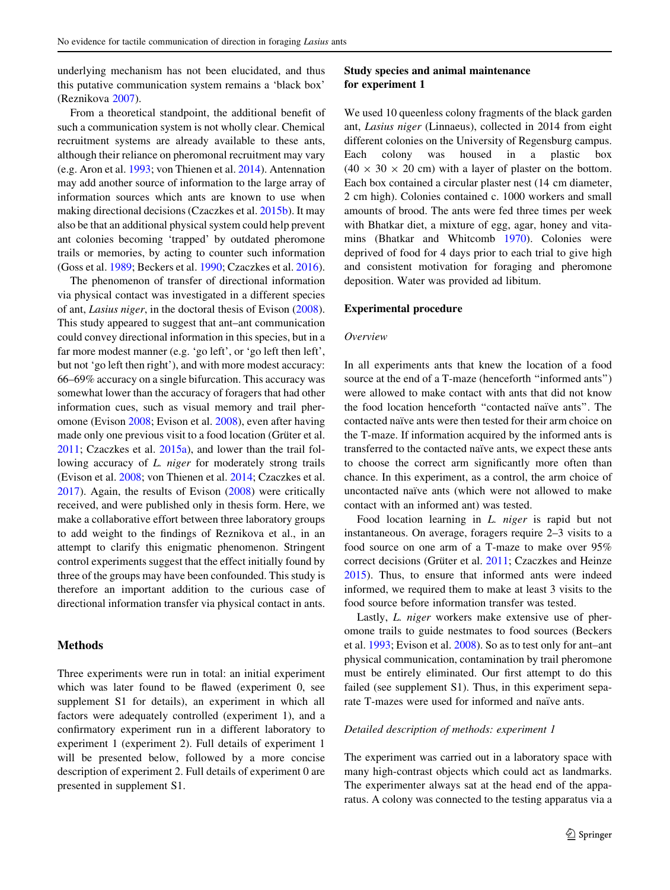underlying mechanism has not been elucidated, and thus this putative communication system remains a 'black box' (Reznikova [2007](#page-9-0)).

From a theoretical standpoint, the additional benefit of such a communication system is not wholly clear. Chemical recruitment systems are already available to these ants, although their reliance on pheromonal recruitment may vary (e.g. Aron et al. [1993](#page-8-0); von Thienen et al. [2014\)](#page-9-0). Antennation may add another source of information to the large array of information sources which ants are known to use when making directional decisions (Czaczkes et al. [2015b](#page-8-0)). It may also be that an additional physical system could help prevent ant colonies becoming 'trapped' by outdated pheromone trails or memories, by acting to counter such information (Goss et al. [1989](#page-9-0); Beckers et al. [1990;](#page-8-0) Czaczkes et al. [2016](#page-9-0)).

The phenomenon of transfer of directional information via physical contact was investigated in a different species of ant, Lasius niger, in the doctoral thesis of Evison [\(2008](#page-9-0)). This study appeared to suggest that ant–ant communication could convey directional information in this species, but in a far more modest manner (e.g. 'go left', or 'go left then left', but not 'go left then right'), and with more modest accuracy: 66–69% accuracy on a single bifurcation. This accuracy was somewhat lower than the accuracy of foragers that had other information cues, such as visual memory and trail pheromone (Evison [2008](#page-9-0); Evison et al. [2008](#page-9-0)), even after having made only one previous visit to a food location (Grüter et al. [2011;](#page-9-0) Czaczkes et al. [2015a](#page-8-0)), and lower than the trail following accuracy of L. niger for moderately strong trails (Evison et al. [2008;](#page-9-0) von Thienen et al. [2014;](#page-9-0) Czaczkes et al. [2017\)](#page-9-0). Again, the results of Evison [\(2008](#page-9-0)) were critically received, and were published only in thesis form. Here, we make a collaborative effort between three laboratory groups to add weight to the findings of Reznikova et al., in an attempt to clarify this enigmatic phenomenon. Stringent control experiments suggest that the effect initially found by three of the groups may have been confounded. This study is therefore an important addition to the curious case of directional information transfer via physical contact in ants.

# Methods

Three experiments were run in total: an initial experiment which was later found to be flawed (experiment 0, see supplement S1 for details), an experiment in which all factors were adequately controlled (experiment 1), and a confirmatory experiment run in a different laboratory to experiment 1 (experiment 2). Full details of experiment 1 will be presented below, followed by a more concise description of experiment 2. Full details of experiment 0 are presented in supplement S1.

# Study species and animal maintenance for experiment 1

We used 10 queenless colony fragments of the black garden ant, Lasius niger (Linnaeus), collected in 2014 from eight different colonies on the University of Regensburg campus. Each colony was housed in a plastic box  $(40 \times 30 \times 20 \text{ cm})$  with a layer of plaster on the bottom. Each box contained a circular plaster nest (14 cm diameter, 2 cm high). Colonies contained c. 1000 workers and small amounts of brood. The ants were fed three times per week with Bhatkar diet, a mixture of egg, agar, honey and vitamins (Bhatkar and Whitcomb [1970](#page-8-0)). Colonies were deprived of food for 4 days prior to each trial to give high and consistent motivation for foraging and pheromone deposition. Water was provided ad libitum.

## Experimental procedure

#### Overview

In all experiments ants that knew the location of a food source at the end of a T-maze (henceforth "informed ants") were allowed to make contact with ants that did not know the food location henceforth "contacted naïve ants". The contacted naïve ants were then tested for their arm choice on the T-maze. If information acquired by the informed ants is transferred to the contacted naïve ants, we expect these ants to choose the correct arm significantly more often than chance. In this experiment, as a control, the arm choice of uncontacted naïve ants (which were not allowed to make contact with an informed ant) was tested.

Food location learning in L. niger is rapid but not instantaneous. On average, foragers require 2–3 visits to a food source on one arm of a T-maze to make over 95% correct decisions (Grüter et al. [2011](#page-9-0); Czaczkes and Heinze [2015](#page-8-0)). Thus, to ensure that informed ants were indeed informed, we required them to make at least 3 visits to the food source before information transfer was tested.

Lastly, L. niger workers make extensive use of pheromone trails to guide nestmates to food sources (Beckers et al. [1993](#page-8-0); Evison et al. [2008\)](#page-9-0). So as to test only for ant–ant physical communication, contamination by trail pheromone must be entirely eliminated. Our first attempt to do this failed (see supplement S1). Thus, in this experiment separate T-mazes were used for informed and naïve ants.

## Detailed description of methods: experiment 1

The experiment was carried out in a laboratory space with many high-contrast objects which could act as landmarks. The experimenter always sat at the head end of the apparatus. A colony was connected to the testing apparatus via a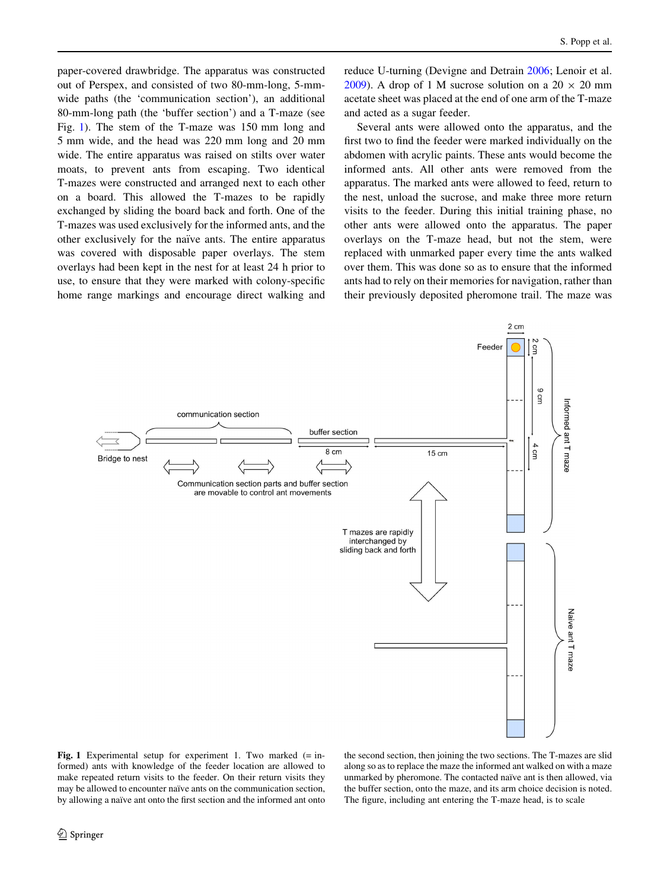paper-covered drawbridge. The apparatus was constructed out of Perspex, and consisted of two 80-mm-long, 5-mmwide paths (the 'communication section'), an additional 80-mm-long path (the 'buffer section') and a T-maze (see Fig. 1). The stem of the T-maze was 150 mm long and 5 mm wide, and the head was 220 mm long and 20 mm wide. The entire apparatus was raised on stilts over water moats, to prevent ants from escaping. Two identical T-mazes were constructed and arranged next to each other on a board. This allowed the T-mazes to be rapidly exchanged by sliding the board back and forth. One of the T-mazes was used exclusively for the informed ants, and the other exclusively for the naïve ants. The entire apparatus was covered with disposable paper overlays. The stem overlays had been kept in the nest for at least 24 h prior to use, to ensure that they were marked with colony-specific home range markings and encourage direct walking and reduce U-turning (Devigne and Detrain [2006;](#page-9-0) Lenoir et al. [2009](#page-9-0)). A drop of 1 M sucrose solution on a  $20 \times 20$  mm acetate sheet was placed at the end of one arm of the T-maze and acted as a sugar feeder.

Several ants were allowed onto the apparatus, and the first two to find the feeder were marked individually on the abdomen with acrylic paints. These ants would become the informed ants. All other ants were removed from the apparatus. The marked ants were allowed to feed, return to the nest, unload the sucrose, and make three more return visits to the feeder. During this initial training phase, no other ants were allowed onto the apparatus. The paper overlays on the T-maze head, but not the stem, were replaced with unmarked paper every time the ants walked over them. This was done so as to ensure that the informed ants had to rely on their memories for navigation, rather than their previously deposited pheromone trail. The maze was



Fig. 1 Experimental setup for experiment 1. Two marked  $(=$  informed) ants with knowledge of the feeder location are allowed to make repeated return visits to the feeder. On their return visits they may be allowed to encounter naïve ants on the communication section, by allowing a naïve ant onto the first section and the informed ant onto

the second section, then joining the two sections. The T-mazes are slid along so as to replace the maze the informed ant walked on with a maze unmarked by pheromone. The contacted naïve ant is then allowed, via the buffer section, onto the maze, and its arm choice decision is noted. The figure, including ant entering the T-maze head, is to scale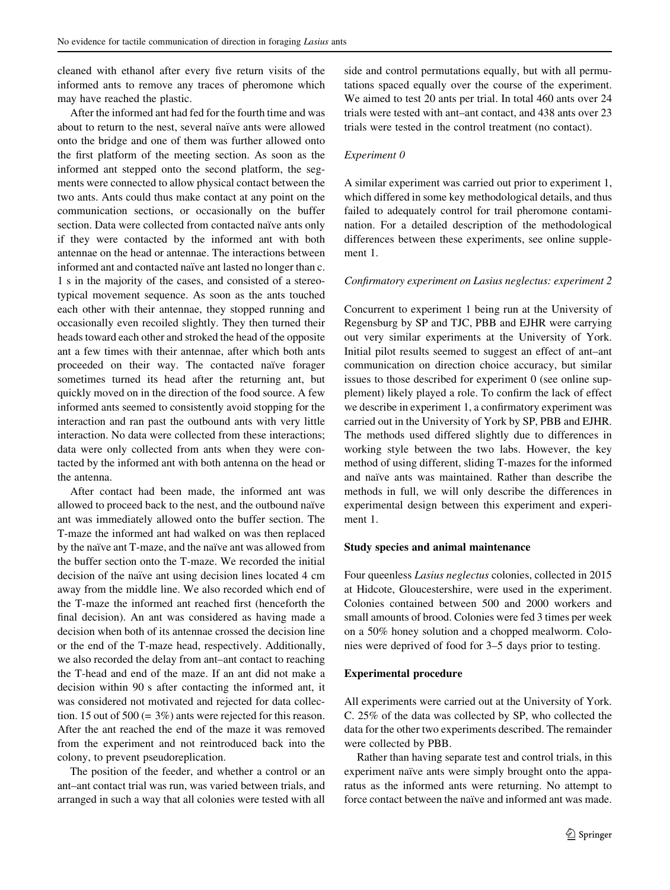cleaned with ethanol after every five return visits of the informed ants to remove any traces of pheromone which may have reached the plastic.

After the informed ant had fed for the fourth time and was about to return to the nest, several naïve ants were allowed onto the bridge and one of them was further allowed onto the first platform of the meeting section. As soon as the informed ant stepped onto the second platform, the segments were connected to allow physical contact between the two ants. Ants could thus make contact at any point on the communication sections, or occasionally on the buffer section. Data were collected from contacted naïve ants only if they were contacted by the informed ant with both antennae on the head or antennae. The interactions between informed ant and contacted naïve ant lasted no longer than c. 1 s in the majority of the cases, and consisted of a stereotypical movement sequence. As soon as the ants touched each other with their antennae, they stopped running and occasionally even recoiled slightly. They then turned their heads toward each other and stroked the head of the opposite ant a few times with their antennae, after which both ants proceeded on their way. The contacted naïve forager sometimes turned its head after the returning ant, but quickly moved on in the direction of the food source. A few informed ants seemed to consistently avoid stopping for the interaction and ran past the outbound ants with very little interaction. No data were collected from these interactions; data were only collected from ants when they were contacted by the informed ant with both antenna on the head or the antenna.

After contact had been made, the informed ant was allowed to proceed back to the nest, and the outbound naïve ant was immediately allowed onto the buffer section. The T-maze the informed ant had walked on was then replaced by the naïve ant T-maze, and the naïve ant was allowed from the buffer section onto the T-maze. We recorded the initial decision of the naïve ant using decision lines located 4 cm away from the middle line. We also recorded which end of the T-maze the informed ant reached first (henceforth the final decision). An ant was considered as having made a decision when both of its antennae crossed the decision line or the end of the T-maze head, respectively. Additionally, we also recorded the delay from ant–ant contact to reaching the T-head and end of the maze. If an ant did not make a decision within 90 s after contacting the informed ant, it was considered not motivated and rejected for data collection. 15 out of 500 (= 3%) ants were rejected for this reason. After the ant reached the end of the maze it was removed from the experiment and not reintroduced back into the colony, to prevent pseudoreplication.

The position of the feeder, and whether a control or an ant–ant contact trial was run, was varied between trials, and arranged in such a way that all colonies were tested with all side and control permutations equally, but with all permutations spaced equally over the course of the experiment. We aimed to test 20 ants per trial. In total 460 ants over 24 trials were tested with ant–ant contact, and 438 ants over 23 trials were tested in the control treatment (no contact).

## Experiment 0

A similar experiment was carried out prior to experiment 1, which differed in some key methodological details, and thus failed to adequately control for trail pheromone contamination. For a detailed description of the methodological differences between these experiments, see online supplement 1.

## Confirmatory experiment on Lasius neglectus: experiment 2

Concurrent to experiment 1 being run at the University of Regensburg by SP and TJC, PBB and EJHR were carrying out very similar experiments at the University of York. Initial pilot results seemed to suggest an effect of ant–ant communication on direction choice accuracy, but similar issues to those described for experiment 0 (see online supplement) likely played a role. To confirm the lack of effect we describe in experiment 1, a confirmatory experiment was carried out in the University of York by SP, PBB and EJHR. The methods used differed slightly due to differences in working style between the two labs. However, the key method of using different, sliding T-mazes for the informed and naïve ants was maintained. Rather than describe the methods in full, we will only describe the differences in experimental design between this experiment and experiment 1.

#### Study species and animal maintenance

Four queenless Lasius neglectus colonies, collected in 2015 at Hidcote, Gloucestershire, were used in the experiment. Colonies contained between 500 and 2000 workers and small amounts of brood. Colonies were fed 3 times per week on a 50% honey solution and a chopped mealworm. Colonies were deprived of food for 3–5 days prior to testing.

## Experimental procedure

All experiments were carried out at the University of York. C. 25% of the data was collected by SP, who collected the data for the other two experiments described. The remainder were collected by PBB.

Rather than having separate test and control trials, in this experiment naïve ants were simply brought onto the apparatus as the informed ants were returning. No attempt to force contact between the naïve and informed ant was made.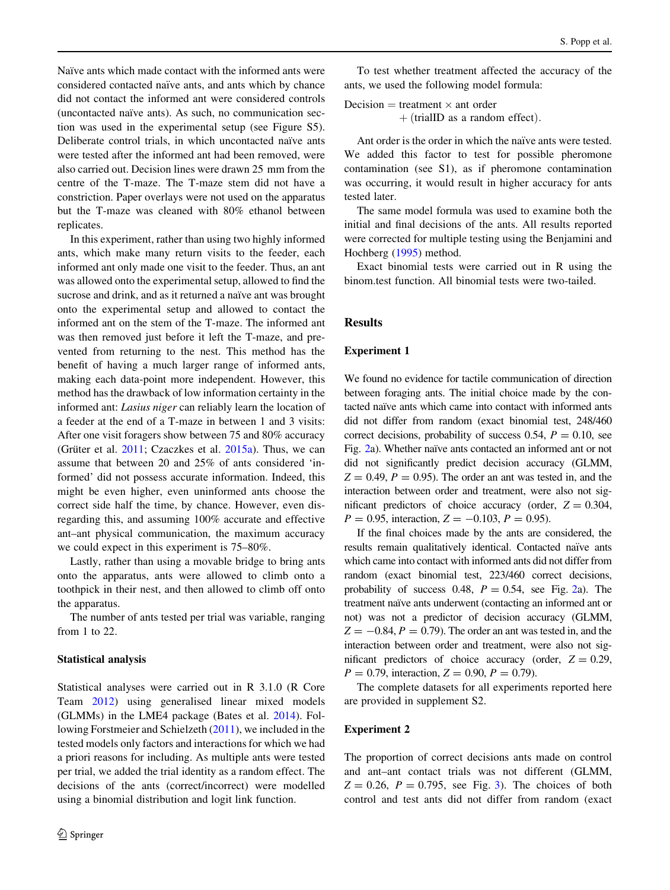Naïve ants which made contact with the informed ants were considered contacted naïve ants, and ants which by chance did not contact the informed ant were considered controls (uncontacted naïve ants). As such, no communication section was used in the experimental setup (see Figure S5). Deliberate control trials, in which uncontacted naïve ants were tested after the informed ant had been removed, were also carried out. Decision lines were drawn 25 mm from the centre of the T-maze. The T-maze stem did not have a constriction. Paper overlays were not used on the apparatus but the T-maze was cleaned with 80% ethanol between replicates.

In this experiment, rather than using two highly informed ants, which make many return visits to the feeder, each informed ant only made one visit to the feeder. Thus, an ant was allowed onto the experimental setup, allowed to find the sucrose and drink, and as it returned a naïve ant was brought onto the experimental setup and allowed to contact the informed ant on the stem of the T-maze. The informed ant was then removed just before it left the T-maze, and prevented from returning to the nest. This method has the benefit of having a much larger range of informed ants, making each data-point more independent. However, this method has the drawback of low information certainty in the informed ant: Lasius niger can reliably learn the location of a feeder at the end of a T-maze in between 1 and 3 visits: After one visit foragers show between 75 and 80% accuracy (Grüter et al.  $2011$ ; Czaczkes et al.  $2015a$ ). Thus, we can assume that between 20 and 25% of ants considered 'informed' did not possess accurate information. Indeed, this might be even higher, even uninformed ants choose the correct side half the time, by chance. However, even disregarding this, and assuming 100% accurate and effective ant–ant physical communication, the maximum accuracy we could expect in this experiment is 75–80%.

Lastly, rather than using a movable bridge to bring ants onto the apparatus, ants were allowed to climb onto a toothpick in their nest, and then allowed to climb off onto the apparatus.

The number of ants tested per trial was variable, ranging from 1 to 22.

## Statistical analysis

Statistical analyses were carried out in R 3.1.0 (R Core Team [2012\)](#page-8-0) using generalised linear mixed models (GLMMs) in the LME4 package (Bates et al. [2014](#page-8-0)). Following Forstmeier and Schielzeth [\(2011](#page-9-0)), we included in the tested models only factors and interactions for which we had a priori reasons for including. As multiple ants were tested per trial, we added the trial identity as a random effect. The decisions of the ants (correct/incorrect) were modelled using a binomial distribution and logit link function.

To test whether treatment affected the accuracy of the ants, we used the following model formula:

Decision  $=$  treatment  $\times$  ant order  $+$  (trialID as a random effect).

Ant order is the order in which the naïve ants were tested. We added this factor to test for possible pheromone contamination (see S1), as if pheromone contamination was occurring, it would result in higher accuracy for ants tested later.

The same model formula was used to examine both the initial and final decisions of the ants. All results reported were corrected for multiple testing using the Benjamini and Hochberg ([1995\)](#page-8-0) method.

Exact binomial tests were carried out in R using the binom.test function. All binomial tests were two-tailed.

## Results

## Experiment 1

We found no evidence for tactile communication of direction between foraging ants. The initial choice made by the contacted naïve ants which came into contact with informed ants did not differ from random (exact binomial test, 248/460 correct decisions, probability of success 0.54,  $P = 0.10$ , see Fig. [2](#page-6-0)a). Whether naïve ants contacted an informed ant or not did not significantly predict decision accuracy (GLMM,  $Z = 0.49$ ,  $P = 0.95$ . The order an ant was tested in, and the interaction between order and treatment, were also not significant predictors of choice accuracy (order,  $Z = 0.304$ ,  $P = 0.95$ , interaction,  $Z = -0.103$ ,  $P = 0.95$ ).

If the final choices made by the ants are considered, the results remain qualitatively identical. Contacted naïve ants which came into contact with informed ants did not differ from random (exact binomial test, 223/460 correct decisions, probability of success 0.48,  $P = 0.54$ , see Fig. [2](#page-6-0)a). The treatment naïve ants underwent (contacting an informed ant or not) was not a predictor of decision accuracy (GLMM,  $Z = -0.84, P = 0.79$ . The order an ant was tested in, and the interaction between order and treatment, were also not significant predictors of choice accuracy (order,  $Z = 0.29$ ,  $P = 0.79$ , interaction,  $Z = 0.90$ ,  $P = 0.79$ ).

The complete datasets for all experiments reported here are provided in supplement S2.

## Experiment 2

The proportion of correct decisions ants made on control and ant–ant contact trials was not different (GLMM,  $Z = 0.26$ ,  $P = 0.795$ , see Fig. [3\)](#page-6-0). The choices of both control and test ants did not differ from random (exact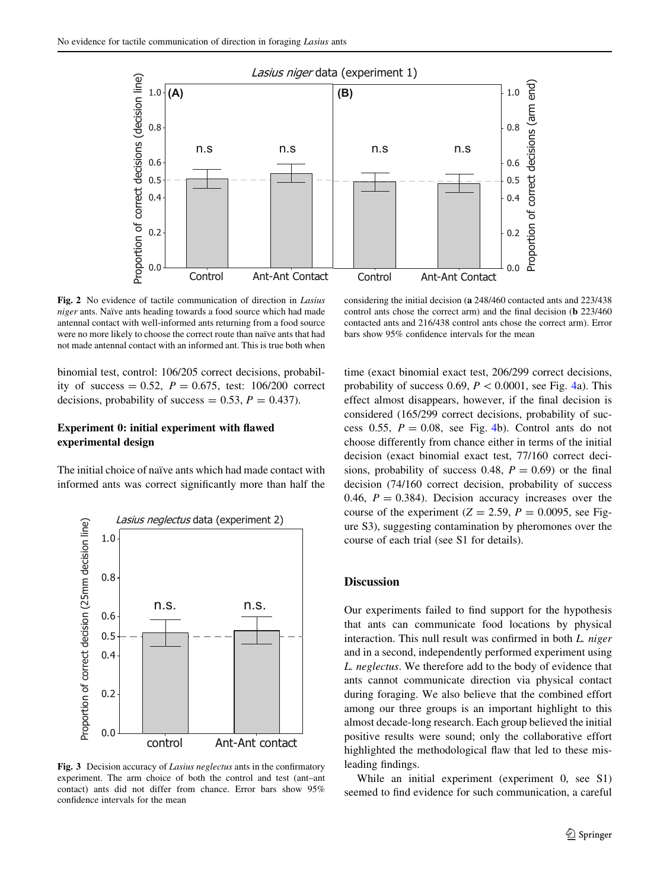<span id="page-6-0"></span>

Fig. 2 No evidence of tactile communication of direction in Lasius niger ants. Naïve ants heading towards a food source which had made antennal contact with well-informed ants returning from a food source were no more likely to choose the correct route than naïve ants that had not made antennal contact with an informed ant. This is true both when

binomial test, control: 106/205 correct decisions, probability of success = 0.52,  $P = 0.675$ , test: 106/200 correct decisions, probability of success = 0.53,  $P = 0.437$ .

# Experiment 0: initial experiment with flawed experimental design

The initial choice of naïve ants which had made contact with informed ants was correct significantly more than half the



Fig. 3 Decision accuracy of Lasius neglectus ants in the confirmatory experiment. The arm choice of both the control and test (ant–ant contact) ants did not differ from chance. Error bars show 95% confidence intervals for the mean

considering the initial decision (a 248/460 contacted ants and 223/438 control ants chose the correct arm) and the final decision (b 223/460 contacted ants and 216/438 control ants chose the correct arm). Error bars show 95% confidence intervals for the mean

time (exact binomial exact test, 206/299 correct decisions, probability of success 0.69,  $P \lt 0.0001$ , see Fig. [4](#page-7-0)a). This effect almost disappears, however, if the final decision is considered (165/299 correct decisions, probability of success 0.55,  $P = 0.08$ , see Fig. [4](#page-7-0)b). Control ants do not choose differently from chance either in terms of the initial decision (exact binomial exact test, 77/160 correct decisions, probability of success 0.48,  $P = 0.69$  or the final decision (74/160 correct decision, probability of success 0.46,  $P = 0.384$ . Decision accuracy increases over the course of the experiment ( $Z = 2.59$ ,  $P = 0.0095$ , see Figure S3), suggesting contamination by pheromones over the course of each trial (see S1 for details).

# Discussion

Our experiments failed to find support for the hypothesis that ants can communicate food locations by physical interaction. This null result was confirmed in both *L. niger* and in a second, independently performed experiment using L. neglectus. We therefore add to the body of evidence that ants cannot communicate direction via physical contact during foraging. We also believe that the combined effort among our three groups is an important highlight to this almost decade-long research. Each group believed the initial positive results were sound; only the collaborative effort highlighted the methodological flaw that led to these misleading findings.

While an initial experiment (experiment 0, see S1) seemed to find evidence for such communication, a careful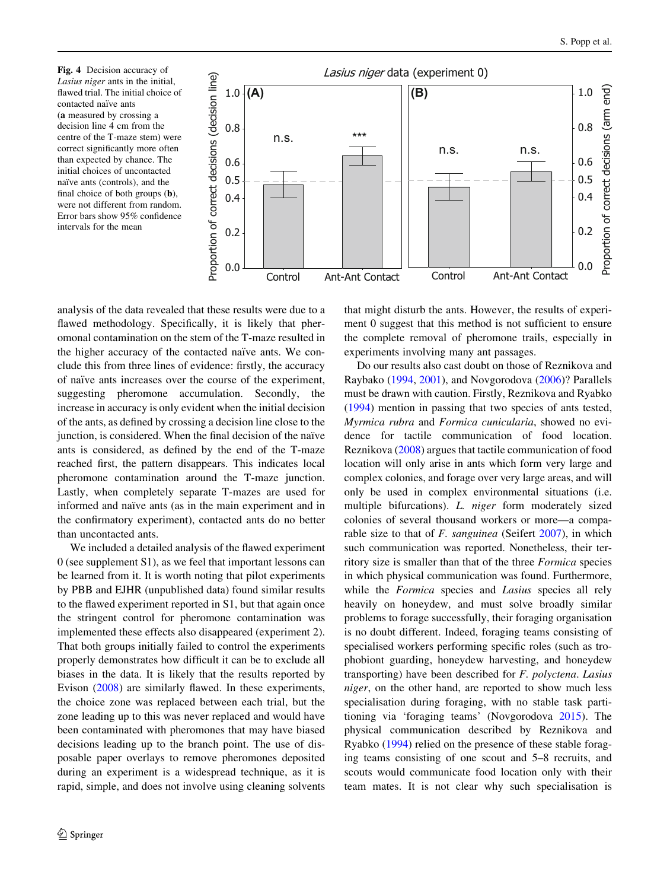<span id="page-7-0"></span>Fig. 4 Decision accuracy of Lasius niger ants in the initial, flawed trial. The initial choice of contacted naïve ants (a measured by crossing a decision line 4 cm from the centre of the T-maze stem) were correct significantly more often than expected by chance. The initial choices of uncontacted naïve ants (controls), and the final choice of both groups (b), were not different from random. Error bars show 95% confidence intervals for the mean



analysis of the data revealed that these results were due to a flawed methodology. Specifically, it is likely that pheromonal contamination on the stem of the T-maze resulted in the higher accuracy of the contacted naïve ants. We conclude this from three lines of evidence: firstly, the accuracy of naïve ants increases over the course of the experiment, suggesting pheromone accumulation. Secondly, the increase in accuracy is only evident when the initial decision of the ants, as defined by crossing a decision line close to the junction, is considered. When the final decision of the naïve ants is considered, as defined by the end of the T-maze reached first, the pattern disappears. This indicates local pheromone contamination around the T-maze junction. Lastly, when completely separate T-mazes are used for informed and naïve ants (as in the main experiment and in the confirmatory experiment), contacted ants do no better than uncontacted ants.

We included a detailed analysis of the flawed experiment 0 (see supplement S1), as we feel that important lessons can be learned from it. It is worth noting that pilot experiments by PBB and EJHR (unpublished data) found similar results to the flawed experiment reported in S1, but that again once the stringent control for pheromone contamination was implemented these effects also disappeared (experiment 2). That both groups initially failed to control the experiments properly demonstrates how difficult it can be to exclude all biases in the data. It is likely that the results reported by Evison ([2008\)](#page-9-0) are similarly flawed. In these experiments, the choice zone was replaced between each trial, but the zone leading up to this was never replaced and would have been contaminated with pheromones that may have biased decisions leading up to the branch point. The use of disposable paper overlays to remove pheromones deposited during an experiment is a widespread technique, as it is rapid, simple, and does not involve using cleaning solvents that might disturb the ants. However, the results of experiment 0 suggest that this method is not sufficient to ensure the complete removal of pheromone trails, especially in experiments involving many ant passages.

Do our results also cast doubt on those of Reznikova and Raybako ([1994,](#page-9-0) [2001\)](#page-9-0), and Novgorodova [\(2006](#page-9-0))? Parallels must be drawn with caution. Firstly, Reznikova and Ryabko [\(1994](#page-9-0)) mention in passing that two species of ants tested, Myrmica rubra and Formica cunicularia, showed no evidence for tactile communication of food location. Reznikova [\(2008](#page-9-0)) argues that tactile communication of food location will only arise in ants which form very large and complex colonies, and forage over very large areas, and will only be used in complex environmental situations (i.e. multiple bifurcations). L. niger form moderately sized colonies of several thousand workers or more—a comparable size to that of *F. sanguinea* (Seifert [2007\)](#page-9-0), in which such communication was reported. Nonetheless, their territory size is smaller than that of the three Formica species in which physical communication was found. Furthermore, while the Formica species and Lasius species all rely heavily on honeydew, and must solve broadly similar problems to forage successfully, their foraging organisation is no doubt different. Indeed, foraging teams consisting of specialised workers performing specific roles (such as trophobiont guarding, honeydew harvesting, and honeydew transporting) have been described for F. polyctena. Lasius niger, on the other hand, are reported to show much less specialisation during foraging, with no stable task partitioning via 'foraging teams' (Novgorodova [2015](#page-9-0)). The physical communication described by Reznikova and Ryabko [\(1994](#page-9-0)) relied on the presence of these stable foraging teams consisting of one scout and 5–8 recruits, and scouts would communicate food location only with their team mates. It is not clear why such specialisation is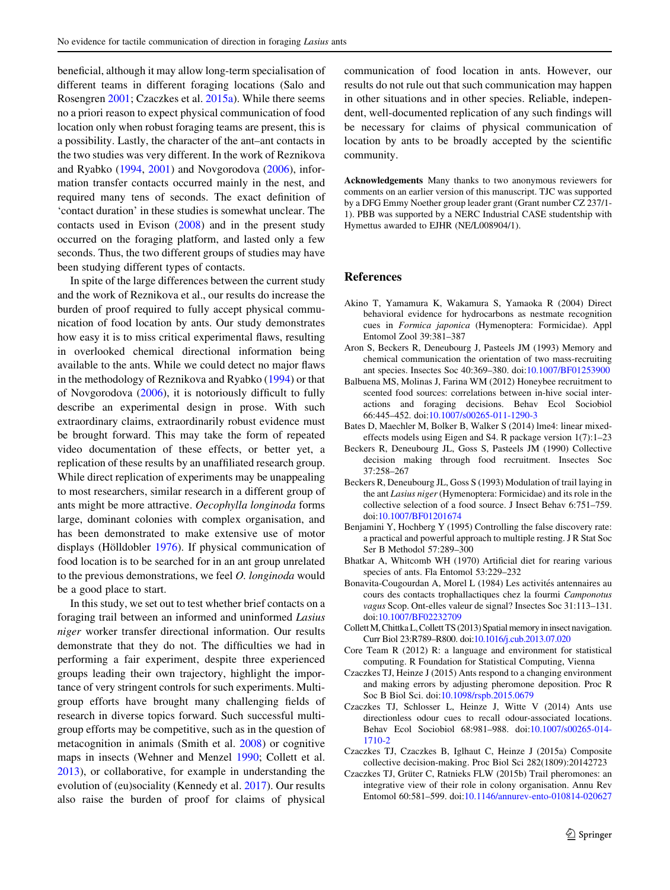<span id="page-8-0"></span>beneficial, although it may allow long-term specialisation of different teams in different foraging locations (Salo and Rosengren [2001](#page-9-0); Czaczkes et al. 2015a). While there seems no a priori reason to expect physical communication of food location only when robust foraging teams are present, this is a possibility. Lastly, the character of the ant–ant contacts in the two studies was very different. In the work of Reznikova and Ryabko [\(1994](#page-9-0), [2001\)](#page-9-0) and Novgorodova [\(2006](#page-9-0)), information transfer contacts occurred mainly in the nest, and required many tens of seconds. The exact definition of 'contact duration' in these studies is somewhat unclear. The contacts used in Evison ([2008\)](#page-9-0) and in the present study occurred on the foraging platform, and lasted only a few seconds. Thus, the two different groups of studies may have been studying different types of contacts.

In spite of the large differences between the current study and the work of Reznikova et al., our results do increase the burden of proof required to fully accept physical communication of food location by ants. Our study demonstrates how easy it is to miss critical experimental flaws, resulting in overlooked chemical directional information being available to the ants. While we could detect no major flaws in the methodology of Reznikova and Ryabko [\(1994](#page-9-0)) or that of Novgorodova ([2006\)](#page-9-0), it is notoriously difficult to fully describe an experimental design in prose. With such extraordinary claims, extraordinarily robust evidence must be brought forward. This may take the form of repeated video documentation of these effects, or better yet, a replication of these results by an unaffiliated research group. While direct replication of experiments may be unappealing to most researchers, similar research in a different group of ants might be more attractive. Oecophylla longinoda forms large, dominant colonies with complex organisation, and has been demonstrated to make extensive use of motor displays (Hölldobler [1976\)](#page-9-0). If physical communication of food location is to be searched for in an ant group unrelated to the previous demonstrations, we feel O. longinoda would be a good place to start.

In this study, we set out to test whether brief contacts on a foraging trail between an informed and uninformed Lasius niger worker transfer directional information. Our results demonstrate that they do not. The difficulties we had in performing a fair experiment, despite three experienced groups leading their own trajectory, highlight the importance of very stringent controls for such experiments. Multigroup efforts have brought many challenging fields of research in diverse topics forward. Such successful multigroup efforts may be competitive, such as in the question of metacognition in animals (Smith et al. [2008](#page-9-0)) or cognitive maps in insects (Wehner and Menzel [1990](#page-9-0); Collett et al. 2013), or collaborative, for example in understanding the evolution of (eu)sociality (Kennedy et al. [2017](#page-9-0)). Our results also raise the burden of proof for claims of physical

communication of food location in ants. However, our results do not rule out that such communication may happen in other situations and in other species. Reliable, independent, well-documented replication of any such findings will be necessary for claims of physical communication of location by ants to be broadly accepted by the scientific community.

Acknowledgements Many thanks to two anonymous reviewers for comments on an earlier version of this manuscript. TJC was supported by a DFG Emmy Noether group leader grant (Grant number CZ 237/1- 1). PBB was supported by a NERC Industrial CASE studentship with Hymettus awarded to EJHR (NE/L008904/1).

## References

- Akino T, Yamamura K, Wakamura S, Yamaoka R (2004) Direct behavioral evidence for hydrocarbons as nestmate recognition cues in Formica japonica (Hymenoptera: Formicidae). Appl Entomol Zool 39:381–387
- Aron S, Beckers R, Deneubourg J, Pasteels JM (1993) Memory and chemical communication the orientation of two mass-recruiting ant species. Insectes Soc 40:369–380. doi[:10.1007/BF01253900](http://dx.doi.org/10.1007/BF01253900)
- Balbuena MS, Molinas J, Farina WM (2012) Honeybee recruitment to scented food sources: correlations between in-hive social interactions and foraging decisions. Behav Ecol Sociobiol 66:445–452. doi[:10.1007/s00265-011-1290-3](http://dx.doi.org/10.1007/s00265-011-1290-3)
- Bates D, Maechler M, Bolker B, Walker S (2014) lme4: linear mixedeffects models using Eigen and S4. R package version 1(7):1–23
- Beckers R, Deneubourg JL, Goss S, Pasteels JM (1990) Collective decision making through food recruitment. Insectes Soc 37:258–267
- Beckers R, Deneubourg JL, Goss S (1993) Modulation of trail laying in the ant Lasius niger (Hymenoptera: Formicidae) and its role in the collective selection of a food source. J Insect Behav 6:751–759. doi[:10.1007/BF01201674](http://dx.doi.org/10.1007/BF01201674)
- Benjamini Y, Hochberg Y (1995) Controlling the false discovery rate: a practical and powerful approach to multiple resting. J R Stat Soc Ser B Methodol 57:289–300
- Bhatkar A, Whitcomb WH (1970) Artificial diet for rearing various species of ants. Fla Entomol 53:229–232
- Bonavita-Cougourdan A, Morel L (1984) Les activités antennaires au cours des contacts trophallactiques chez la fourmi Camponotus vagus Scop. Ont-elles valeur de signal? Insectes Soc 31:113–131. doi[:10.1007/BF02232709](http://dx.doi.org/10.1007/BF02232709)
- Collett M,Chittka L, Collett TS (2013) Spatial memory in insect navigation. Curr Biol 23:R789–R800. doi:[10.1016/j.cub.2013.07.020](http://dx.doi.org/10.1016/j.cub.2013.07.020)
- Core Team R (2012) R: a language and environment for statistical computing. R Foundation for Statistical Computing, Vienna
- Czaczkes TJ, Heinze J (2015) Ants respond to a changing environment and making errors by adjusting pheromone deposition. Proc R Soc B Biol Sci. doi[:10.1098/rspb.2015.0679](http://dx.doi.org/10.1098/rspb.2015.0679)
- Czaczkes TJ, Schlosser L, Heinze J, Witte V (2014) Ants use directionless odour cues to recall odour-associated locations. Behav Ecol Sociobiol 68:981–988. doi:[10.1007/s00265-014-](http://dx.doi.org/10.1007/s00265-014-1710-2) [1710-2](http://dx.doi.org/10.1007/s00265-014-1710-2)
- Czaczkes TJ, Czaczkes B, Iglhaut C, Heinze J (2015a) Composite collective decision-making. Proc Biol Sci 282(1809):20142723
- Czaczkes TJ, Grüter C, Ratnieks FLW (2015b) Trail pheromones: an integrative view of their role in colony organisation. Annu Rev Entomol 60:581–599. doi[:10.1146/annurev-ento-010814-020627](http://dx.doi.org/10.1146/annurev-ento-010814-020627)